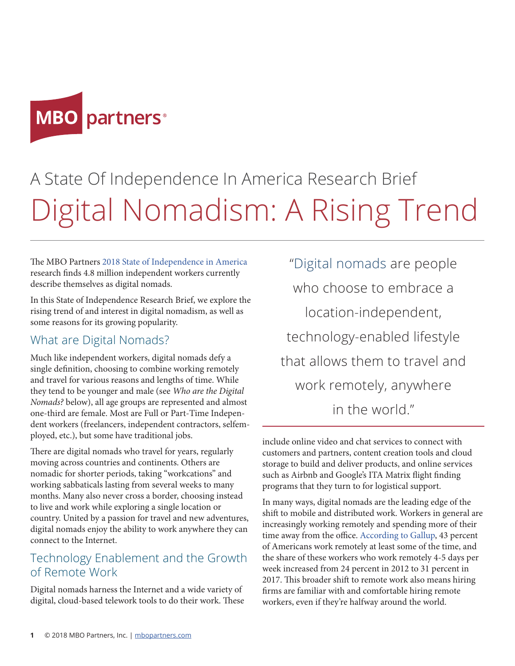

# A State Of Independence In America Research Brief Digital Nomadism: A Rising Trend

The MBO Partners [2018 State of Independence in America](https://www.mbopartners.com/state-of-independence) research finds 4.8 million independent workers currently describe themselves as digital nomads.

In this State of Independence Research Brief, we explore the rising trend of and interest in digital nomadism, as well as some reasons for its growing popularity.

#### What are Digital Nomads?

Much like independent workers, digital nomads defy a single definition, choosing to combine working remotely and travel for various reasons and lengths of time. While they tend to be younger and male (see *Who are the Digital Nomads?* below), all age groups are represented and almost one-third are female. Most are Full or Part-Time Independent workers (freelancers, independent contractors, selfemployed, etc.), but some have traditional jobs.

There are digital nomads who travel for years, regularly moving across countries and continents. Others are nomadic for shorter periods, taking "workcations" and working sabbaticals lasting from several weeks to many months. Many also never cross a border, choosing instead to live and work while exploring a single location or country. United by a passion for travel and new adventures, digital nomads enjoy the ability to work anywhere they can connect to the Internet.

## Technology Enablement and the Growth of Remote Work

Digital nomads harness the Internet and a wide variety of digital, cloud-based telework tools to do their work. These

"Digital nomads are people who choose to embrace a location-independent, technology-enabled lifestyle that allows them to travel and work remotely, anywhere in the world."

include online video and chat services to connect with customers and partners, content creation tools and cloud storage to build and deliver products, and online services such as Airbnb and Google's ITA Matrix flight finding programs that they turn to for logistical support.

In many ways, digital nomads are the leading edge of the shift to mobile and distributed work. Workers in general are increasingly working remotely and spending more of their time away from the office. [According to Gallup](https://news.gallup.com/businessjournal/206033/america-coming-workplace-home-alone.aspx), 43 percent of Americans work remotely at least some of the time, and the share of these workers who work remotely 4-5 days per week increased from 24 percent in 2012 to 31 percent in 2017. This broader shift to remote work also means hiring firms are familiar with and comfortable hiring remote workers, even if they're halfway around the world.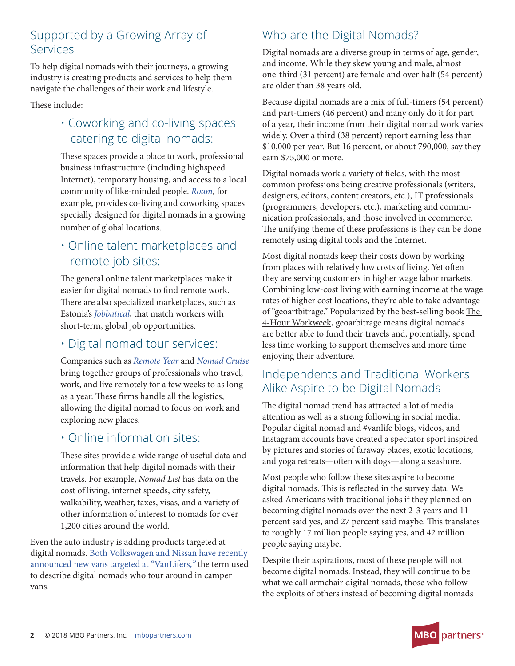# Supported by a Growing Array of Services

To help digital nomads with their journeys, a growing industry is creating products and services to help them navigate the challenges of their work and lifestyle.

These include:

# • Coworking and co-living spaces catering to digital nomads:

These spaces provide a place to work, professional business infrastructure (including highspeed Internet), temporary housing, and access to a local community of like-minded people. *[Roam](https://www.roam.co/)*, for example, provides co-living and coworking spaces specially designed for digital nomads in a growing number of global locations.

# • Online talent marketplaces and remote job sites:

The general online talent marketplaces make it easier for digital nomads to find remote work. There are also specialized marketplaces, such as Estonia's *[Jobbatical](https://jobbatical.com/),* that match workers with short-term, global job opportunities.

#### • Digital nomad tour services:

Companies such as *[Remote Year](https://remoteyear.com/)* and *[Nomad Cruise](https://www.nomadcruise.com/)* bring together groups of professionals who travel, work, and live remotely for a few weeks to as long as a year. These firms handle all the logistics, allowing the digital nomad to focus on work and exploring new places.

## • Online information sites:

These sites provide a wide range of useful data and information that help digital nomads with their travels. For example, *Nomad List* has data on the cost of living, internet speeds, city safety, walkability, weather, taxes, visas, and a variety of other information of interest to nomads for over 1,200 cities around the world.

Even the auto industry is adding products targeted at digital nomads. [Both Volkswagen and Nissan have recently](https://www.fastcompany.com/90216582/how-the-vanlife-movement-is-influencing-car-design)  [announced new vans targeted at "VanLifers,](https://www.fastcompany.com/90216582/how-the-vanlife-movement-is-influencing-car-design)*"* the term used to describe digital nomads who tour around in camper vans.

# Who are the Digital Nomads?

Digital nomads are a diverse group in terms of age, gender, and income. While they skew young and male, almost one-third (31 percent) are female and over half (54 percent) are older than 38 years old.

Because digital nomads are a mix of full-timers (54 percent) and part-timers (46 percent) and many only do it for part of a year, their income from their digital nomad work varies widely. Over a third (38 percent) report earning less than \$10,000 per year. But 16 percent, or about 790,000, say they earn \$75,000 or more.

Digital nomads work a variety of fields, with the most common professions being creative professionals (writers, designers, editors, content creators, etc.), IT professionals (programmers, developers, etc.), marketing and communication professionals, and those involved in ecommerce. The unifying theme of these professions is they can be done remotely using digital tools and the Internet.

Most digital nomads keep their costs down by working from places with relatively low costs of living. Yet often they are serving customers in higher wage labor markets. Combining low-cost living with earning income at the wage rates of higher cost locations, they're able to take advantage of "geoartbitrage." Popularized by the best-selling book The 4-Hour Workweek, geoarbitrage means digital nomads are better able to fund their travels and, potentially, spend less time working to support themselves and more time enjoying their adventure.

## Independents and Traditional Workers Alike Aspire to be Digital Nomads

The digital nomad trend has attracted a lot of media attention as well as a strong following in social media. Popular digital nomad and #vanlife blogs, videos, and Instagram accounts have created a spectator sport inspired by pictures and stories of faraway places, exotic locations, and yoga retreats—often with dogs—along a seashore.

Most people who follow these sites aspire to become digital nomads. This is reflected in the survey data. We asked Americans with traditional jobs if they planned on becoming digital nomads over the next 2-3 years and 11 percent said yes, and 27 percent said maybe. This translates to roughly 17 million people saying yes, and 42 million people saying maybe.

Despite their aspirations, most of these people will not become digital nomads. Instead, they will continue to be what we call armchair digital nomads, those who follow the exploits of others instead of becoming digital nomads